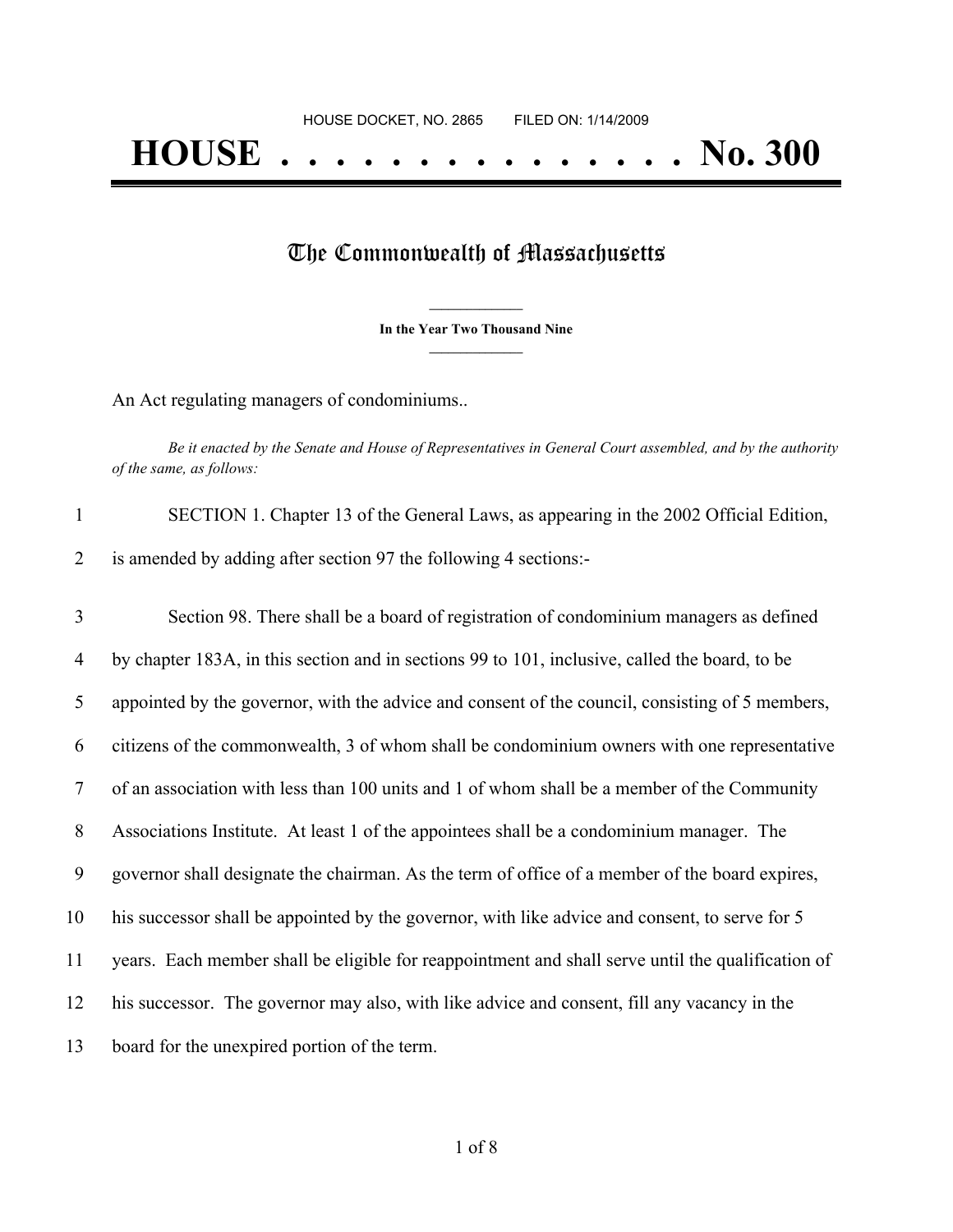## The Commonwealth of Massachusetts

**\_\_\_\_\_\_\_\_\_\_\_\_\_\_\_ In the Year Two Thousand Nine \_\_\_\_\_\_\_\_\_\_\_\_\_\_\_**

An Act regulating managers of condominiums..

Be it enacted by the Senate and House of Representatives in General Court assembled, and by the authority *of the same, as follows:*

| $\mathbf{1}$ | SECTION 1. Chapter 13 of the General Laws, as appearing in the 2002 Official Edition,             |
|--------------|---------------------------------------------------------------------------------------------------|
| 2            | is amended by adding after section 97 the following 4 sections:-                                  |
|              |                                                                                                   |
| 3            | Section 98. There shall be a board of registration of condominium managers as defined             |
| 4            | by chapter 183A, in this section and in sections 99 to 101, inclusive, called the board, to be    |
| 5            | appointed by the governor, with the advice and consent of the council, consisting of 5 members,   |
| 6            | citizens of the commonwealth, 3 of whom shall be condominium owners with one representative       |
| 7            | of an association with less than 100 units and 1 of whom shall be a member of the Community       |
| 8            | Associations Institute. At least 1 of the appointees shall be a condominium manager. The          |
| 9            | governor shall designate the chairman. As the term of office of a member of the board expires,    |
| 10           | his successor shall be appointed by the governor, with like advice and consent, to serve for 5    |
| 11           | years. Each member shall be eligible for reappointment and shall serve until the qualification of |
| 12           | his successor. The governor may also, with like advice and consent, fill any vacancy in the       |
| 13           | board for the unexpired portion of the term.                                                      |
|              |                                                                                                   |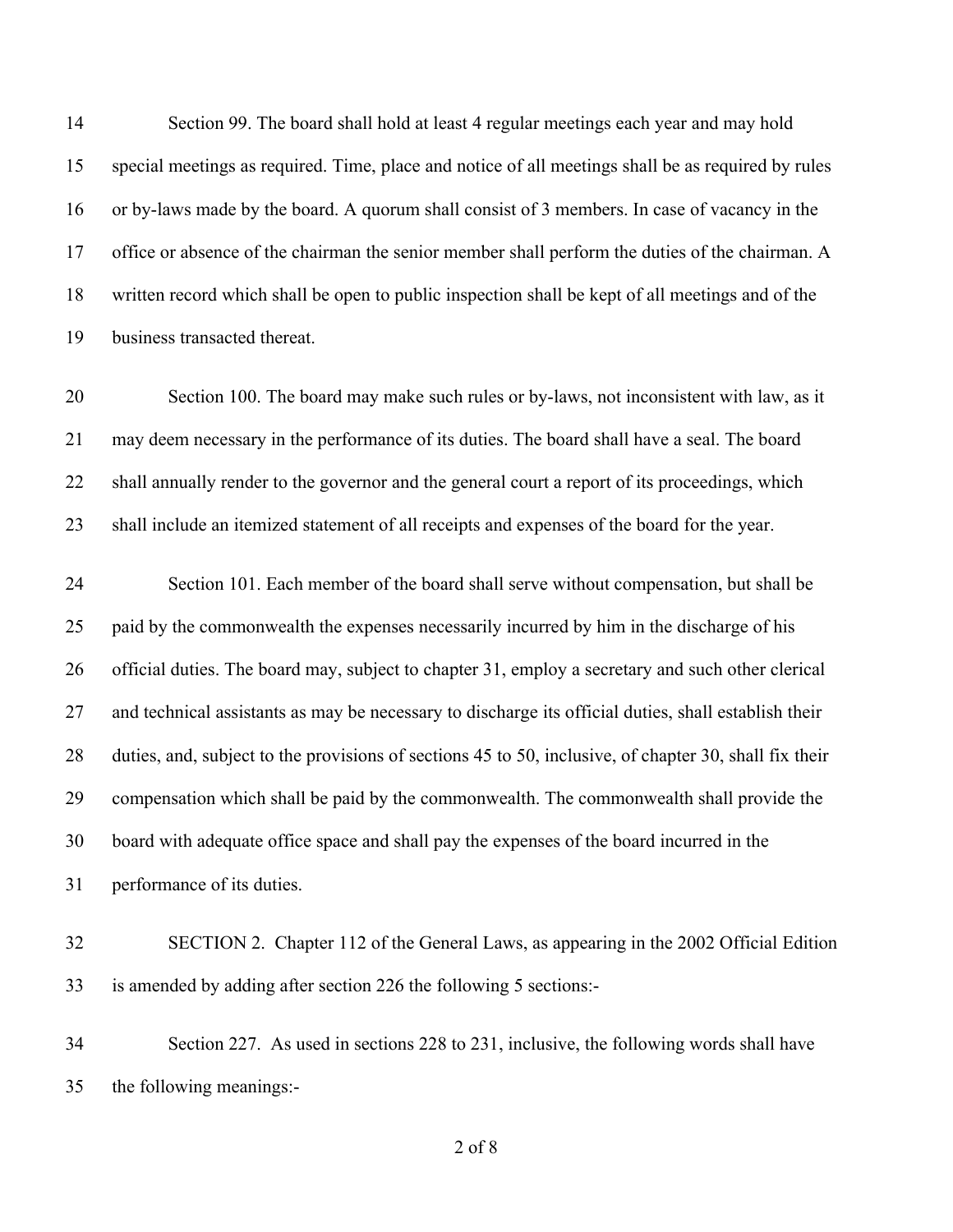Section 99. The board shall hold at least 4 regular meetings each year and may hold special meetings as required. Time, place and notice of all meetings shall be as required by rules or by-laws made by the board. A quorum shall consist of 3 members. In case of vacancy in the office or absence of the chairman the senior member shall perform the duties of the chairman. A written record which shall be open to public inspection shall be kept of all meetings and of the business transacted thereat.

 Section 100. The board may make such rules or by-laws, not inconsistent with law, as it may deem necessary in the performance of its duties. The board shall have a seal. The board shall annually render to the governor and the general court a report of its proceedings, which shall include an itemized statement of all receipts and expenses of the board for the year.

 Section 101. Each member of the board shall serve without compensation, but shall be paid by the commonwealth the expenses necessarily incurred by him in the discharge of his official duties. The board may, subject to chapter 31, employ a secretary and such other clerical and technical assistants as may be necessary to discharge its official duties, shall establish their duties, and, subject to the provisions of sections 45 to 50, inclusive, of chapter 30, shall fix their compensation which shall be paid by the commonwealth. The commonwealth shall provide the board with adequate office space and shall pay the expenses of the board incurred in the performance of its duties.

- SECTION 2. Chapter 112 of the General Laws, as appearing in the 2002 Official Edition is amended by adding after section 226 the following 5 sections:-
- Section 227. As used in sections 228 to 231, inclusive, the following words shall have the following meanings:-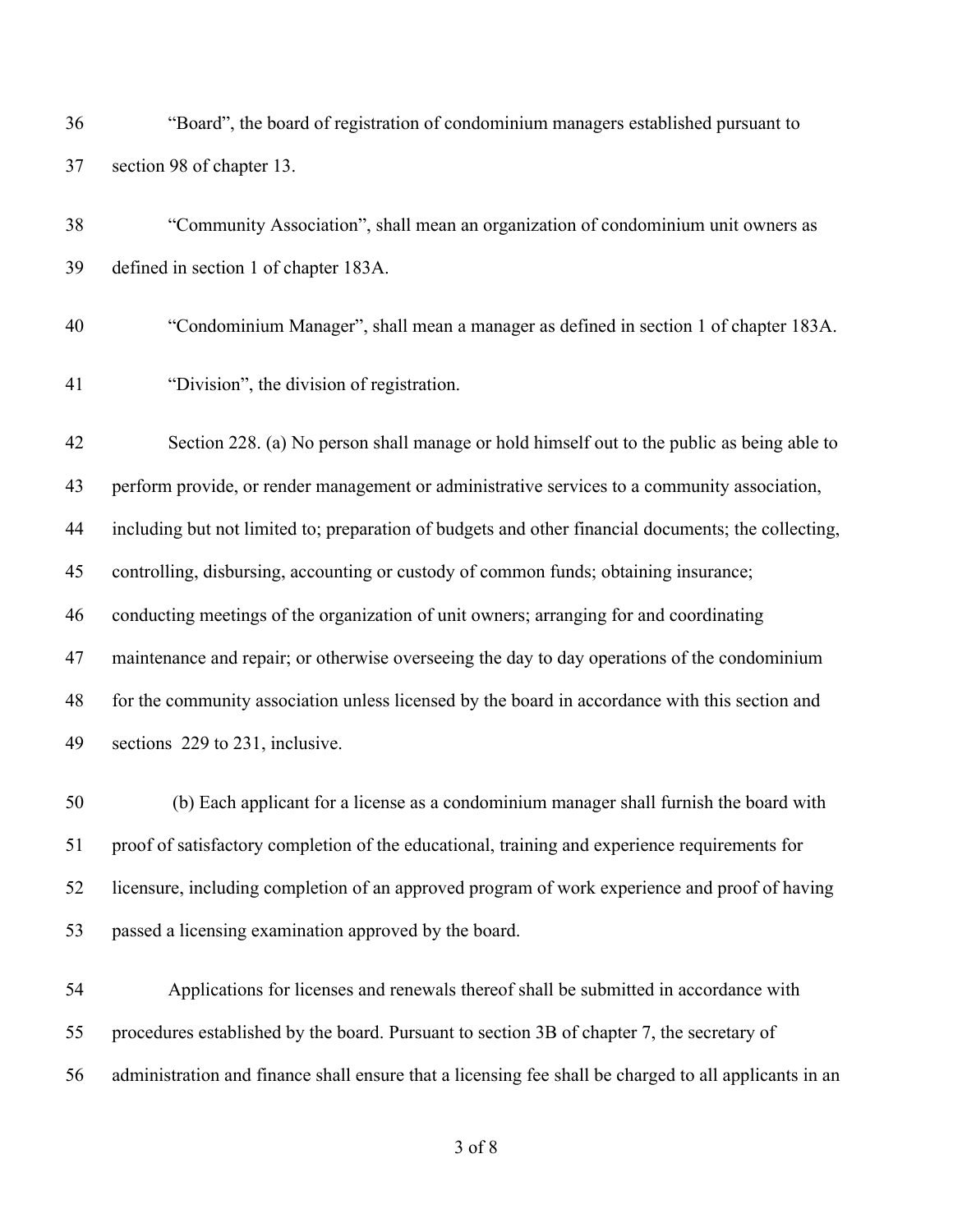"Board", the board of registration of condominium managers established pursuant to section 98 of chapter 13.

 "Community Association", shall mean an organization of condominium unit owners as defined in section 1 of chapter 183A.

- "Condominium Manager", shall mean a manager as defined in section 1 of chapter 183A.
- "Division", the division of registration.

 Section 228. (a) No person shall manage or hold himself out to the public as being able to perform provide, or render management or administrative services to a community association, including but not limited to; preparation of budgets and other financial documents; the collecting, controlling, disbursing, accounting or custody of common funds; obtaining insurance; conducting meetings of the organization of unit owners; arranging for and coordinating 47 maintenance and repair; or otherwise overseeing the day to day operations of the condominium for the community association unless licensed by the board in accordance with this section and sections 229 to 231, inclusive.

 (b) Each applicant for a license as a condominium manager shall furnish the board with proof of satisfactory completion of the educational, training and experience requirements for licensure, including completion of an approved program of work experience and proof of having passed a licensing examination approved by the board.

 Applications for licenses and renewals thereof shall be submitted in accordance with procedures established by the board. Pursuant to section 3B of chapter 7, the secretary of administration and finance shall ensure that a licensing fee shall be charged to all applicants in an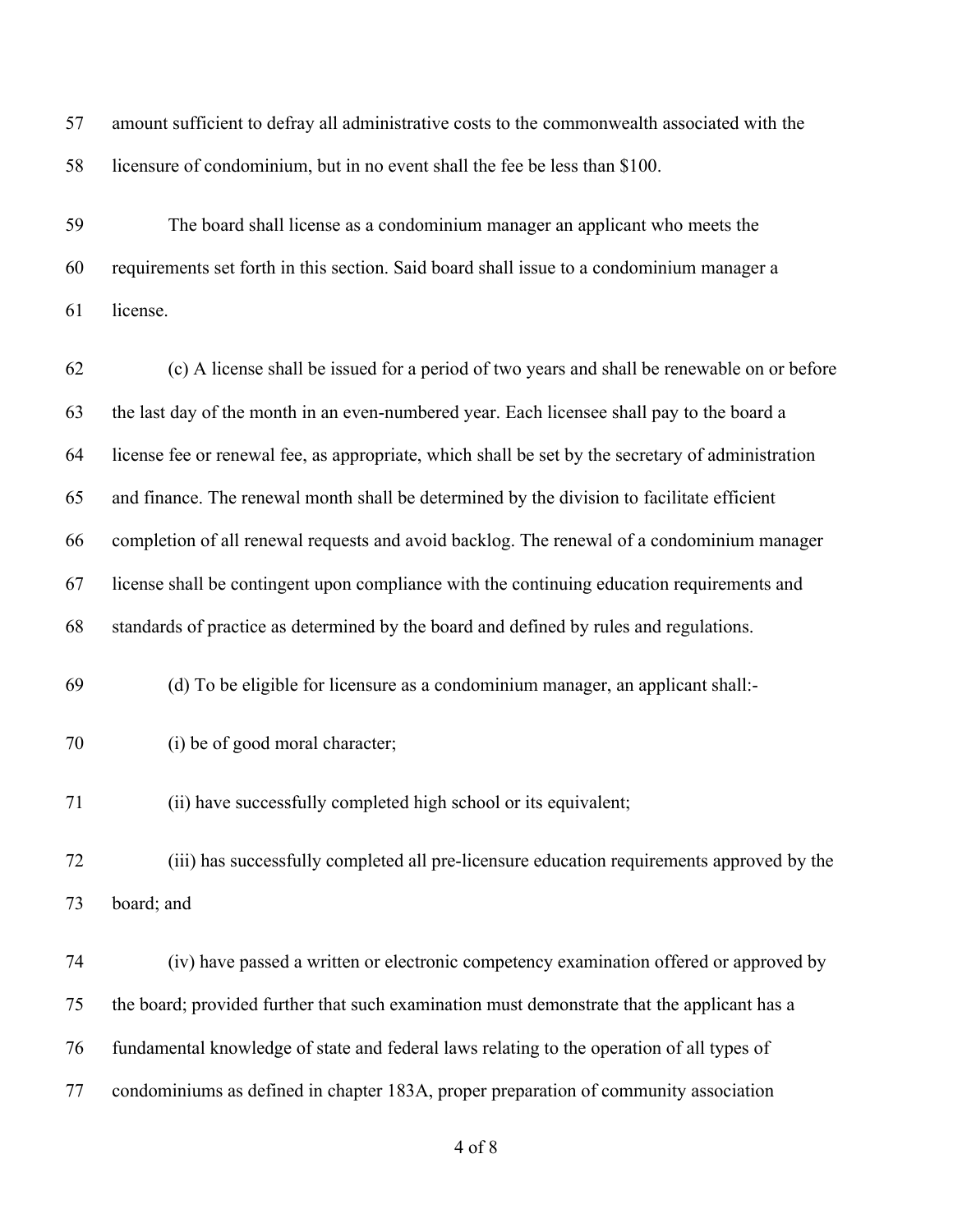| 57 | amount sufficient to defray all administrative costs to the commonwealth associated with the      |
|----|---------------------------------------------------------------------------------------------------|
| 58 | licensure of condominium, but in no event shall the fee be less than \$100.                       |
| 59 | The board shall license as a condominium manager an applicant who meets the                       |
| 60 | requirements set forth in this section. Said board shall issue to a condominium manager a         |
| 61 | license.                                                                                          |
| 62 | (c) A license shall be issued for a period of two years and shall be renewable on or before       |
| 63 | the last day of the month in an even-numbered year. Each licensee shall pay to the board a        |
| 64 | license fee or renewal fee, as appropriate, which shall be set by the secretary of administration |
| 65 | and finance. The renewal month shall be determined by the division to facilitate efficient        |
| 66 | completion of all renewal requests and avoid backlog. The renewal of a condominium manager        |
| 67 | license shall be contingent upon compliance with the continuing education requirements and        |
| 68 | standards of practice as determined by the board and defined by rules and regulations.            |
| 69 | (d) To be eligible for licensure as a condominium manager, an applicant shall:-                   |
| 70 | (i) be of good moral character;                                                                   |
| 71 | (ii) have successfully completed high school or its equivalent;                                   |
| 72 | (iii) has successfully completed all pre-licensure education requirements approved by the         |
| 73 | board; and                                                                                        |
| 74 | (iv) have passed a written or electronic competency examination offered or approved by            |
| 75 | the board; provided further that such examination must demonstrate that the applicant has a       |
| 76 | fundamental knowledge of state and federal laws relating to the operation of all types of         |
| 77 | condominiums as defined in chapter 183A, proper preparation of community association              |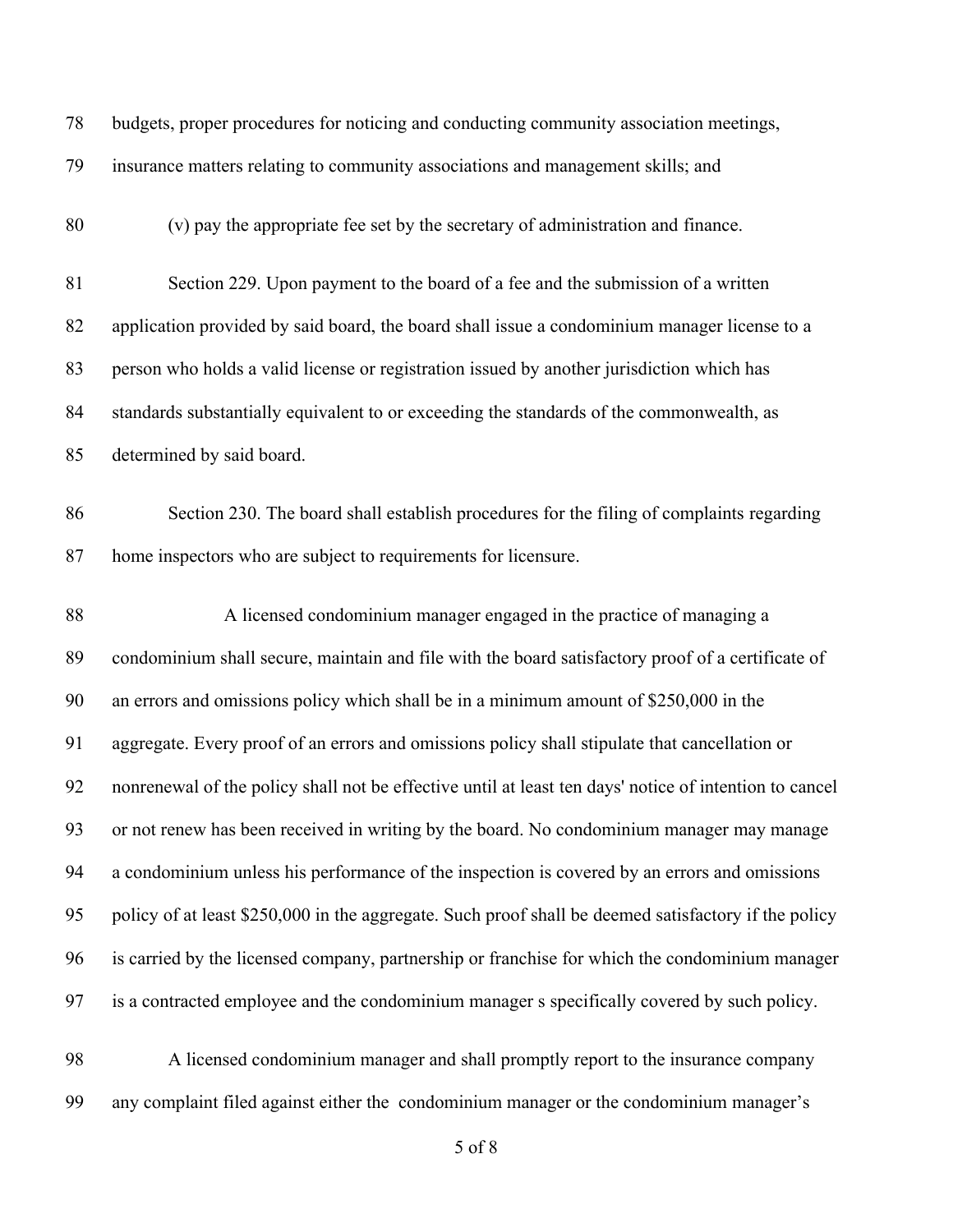| 78 | budgets, proper procedures for noticing and conducting community association meetings,                 |
|----|--------------------------------------------------------------------------------------------------------|
| 79 | insurance matters relating to community associations and management skills; and                        |
| 80 | (v) pay the appropriate fee set by the secretary of administration and finance.                        |
| 81 | Section 229. Upon payment to the board of a fee and the submission of a written                        |
| 82 | application provided by said board, the board shall issue a condominium manager license to a           |
| 83 | person who holds a valid license or registration issued by another jurisdiction which has              |
| 84 | standards substantially equivalent to or exceeding the standards of the commonwealth, as               |
| 85 | determined by said board.                                                                              |
| 86 | Section 230. The board shall establish procedures for the filing of complaints regarding               |
| 87 | home inspectors who are subject to requirements for licensure.                                         |
| 88 | A licensed condominium manager engaged in the practice of managing a                                   |
| 89 | condominium shall secure, maintain and file with the board satisfactory proof of a certificate of      |
| 90 | an errors and omissions policy which shall be in a minimum amount of \$250,000 in the                  |
| 91 | aggregate. Every proof of an errors and omissions policy shall stipulate that cancellation or          |
| 92 | nonrenewal of the policy shall not be effective until at least ten days' notice of intention to cancel |
| 93 | or not renew has been received in writing by the board. No condominium manager may manage              |
| 94 | a condominium unless his performance of the inspection is covered by an errors and omissions           |
| 95 | policy of at least \$250,000 in the aggregate. Such proof shall be deemed satisfactory if the policy   |
| 96 | is carried by the licensed company, partnership or franchise for which the condominium manager         |
| 97 | is a contracted employee and the condominium manager s specifically covered by such policy.            |
| 98 | A licensed condominium manager and shall promptly report to the insurance company                      |
| 99 | any complaint filed against either the condominium manager or the condominium manager's                |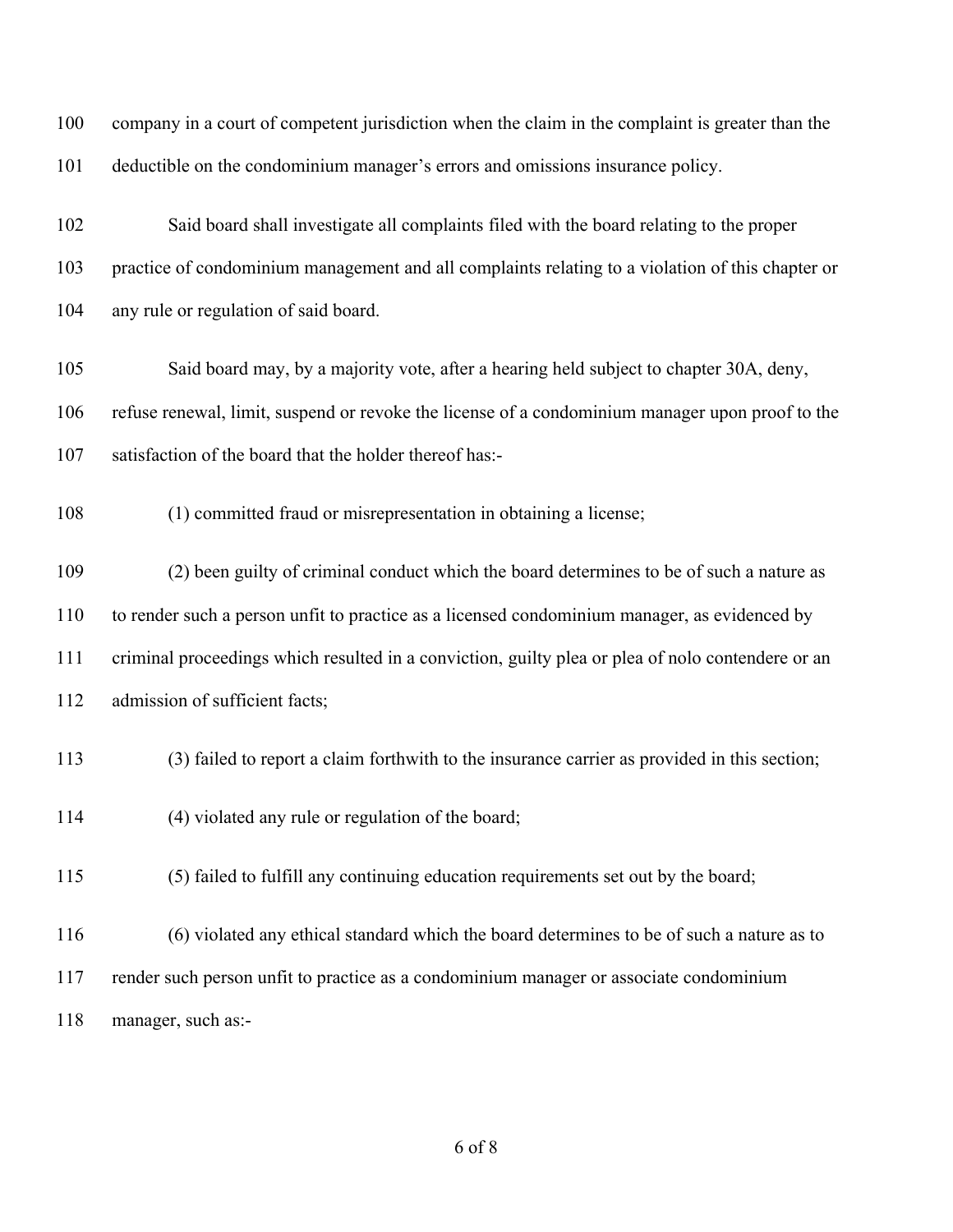| 100 | company in a court of competent jurisdiction when the claim in the complaint is greater than the  |
|-----|---------------------------------------------------------------------------------------------------|
| 101 | deductible on the condominium manager's errors and omissions insurance policy.                    |
| 102 | Said board shall investigate all complaints filed with the board relating to the proper           |
| 103 | practice of condominium management and all complaints relating to a violation of this chapter or  |
| 104 | any rule or regulation of said board.                                                             |
| 105 | Said board may, by a majority vote, after a hearing held subject to chapter 30A, deny,            |
| 106 | refuse renewal, limit, suspend or revoke the license of a condominium manager upon proof to the   |
| 107 | satisfaction of the board that the holder thereof has:-                                           |
| 108 | (1) committed fraud or misrepresentation in obtaining a license;                                  |
| 109 | (2) been guilty of criminal conduct which the board determines to be of such a nature as          |
| 110 | to render such a person unfit to practice as a licensed condominium manager, as evidenced by      |
| 111 | criminal proceedings which resulted in a conviction, guilty plea or plea of nolo contendere or an |
| 112 | admission of sufficient facts;                                                                    |
| 113 | (3) failed to report a claim forthwith to the insurance carrier as provided in this section;      |
| 114 | (4) violated any rule or regulation of the board;                                                 |
| 115 | (5) failed to fulfill any continuing education requirements set out by the board;                 |
| 116 | (6) violated any ethical standard which the board determines to be of such a nature as to         |
| 117 | render such person unfit to practice as a condominium manager or associate condominium            |
| 118 | manager, such as:-                                                                                |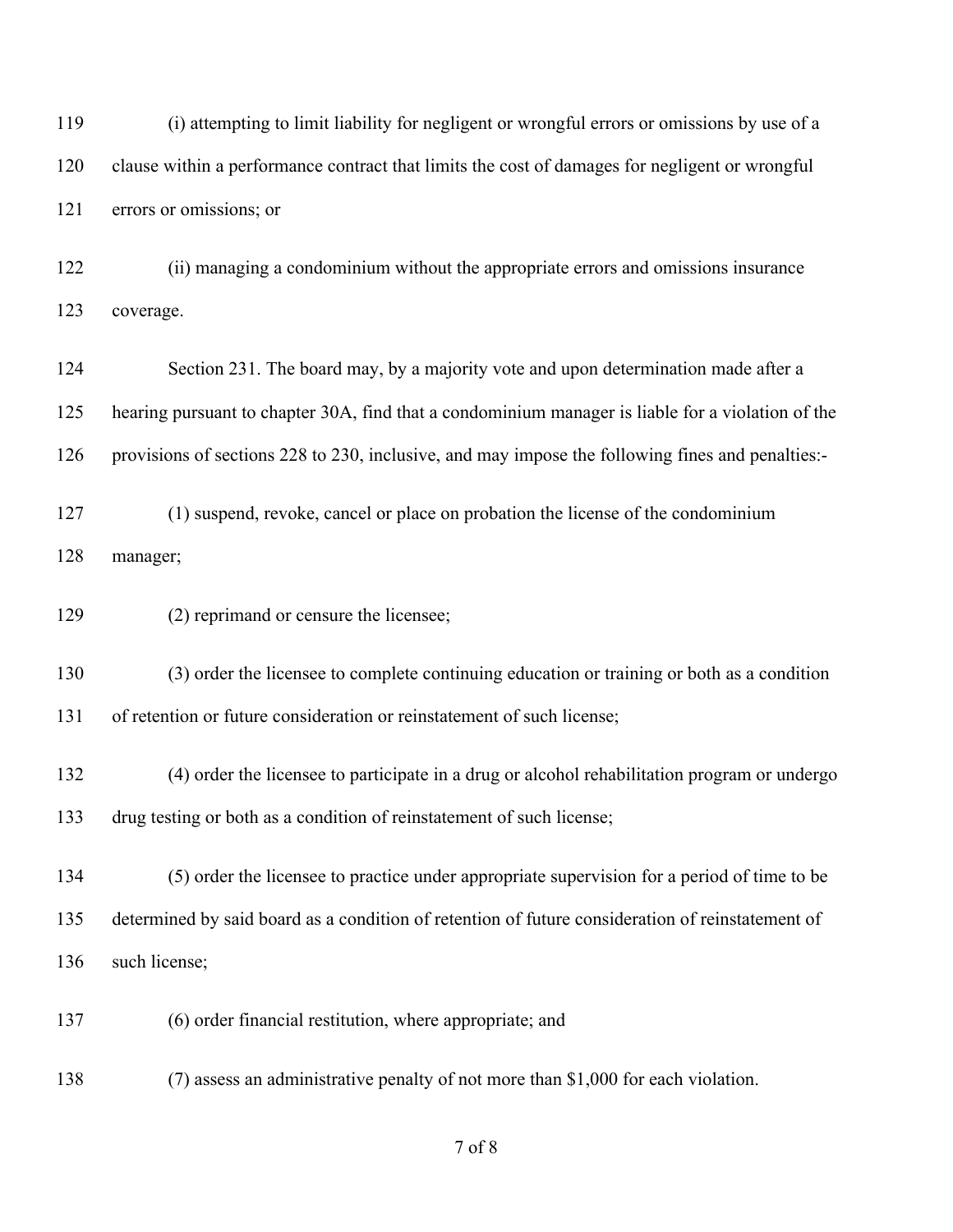(i) attempting to limit liability for negligent or wrongful errors or omissions by use of a clause within a performance contract that limits the cost of damages for negligent or wrongful errors or omissions; or

 (ii) managing a condominium without the appropriate errors and omissions insurance coverage.

 Section 231. The board may, by a majority vote and upon determination made after a hearing pursuant to chapter 30A, find that a condominium manager is liable for a violation of the provisions of sections 228 to 230, inclusive, and may impose the following fines and penalties:-

 (1) suspend, revoke, cancel or place on probation the license of the condominium manager;

(2) reprimand or censure the licensee;

(3) order the licensee to complete continuing education or training or both as a condition

of retention or future consideration or reinstatement of such license;

 (4) order the licensee to participate in a drug or alcohol rehabilitation program or undergo drug testing or both as a condition of reinstatement of such license;

 (5) order the licensee to practice under appropriate supervision for a period of time to be determined by said board as a condition of retention of future consideration of reinstatement of such license;

(6) order financial restitution, where appropriate; and

(7) assess an administrative penalty of not more than \$1,000 for each violation.